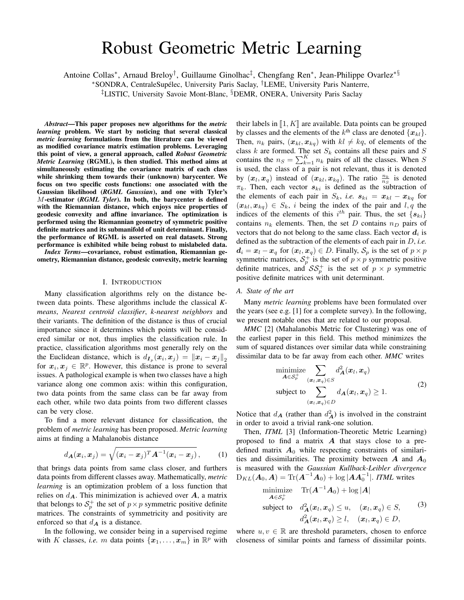# Robust Geometric Metric Learning

Antoine Collas<sup>∗</sup>, Arnaud Breloy<sup>†</sup>, Guillaume Ginolhac<sup>‡</sup>, Chengfang Ren<sup>∗</sup>, Jean-Philippe Ovarlez<sup>∗§</sup>

\*SONDRA, CentraleSupélec, University Paris Saclay, <sup>†</sup>LEME, University Paris Nanterre,

‡LISTIC, University Savoie Mont-Blanc, §DEMR, ONERA, University Paris Saclay

*Abstract*—This paper proposes new algorithms for the *metric learning* problem. We start by noticing that several classical *metric learning* formulations from the literature can be viewed as modified covariance matrix estimation problems. Leveraging this point of view, a general approach, called *Robust Geometric Metric Learning* (RGML), is then studied. This method aims at simultaneously estimating the covariance matrix of each class while shrinking them towards their (unknown) barycenter. We focus on two specific costs functions: one associated with the Gaussian likelihood (*RGML Gaussian*), and one with Tyler's M-estimator (*RGML Tyler*). In both, the barycenter is defined with the Riemannian distance, which enjoys nice properties of geodesic convexity and affine invariance. The optimization is performed using the Riemannian geometry of symmetric positive definite matrices and its submanifold of unit determinant. Finally, the performance of RGML is asserted on real datasets. Strong performance is exhibited while being robust to mislabeled data.

*Index Terms*—covariance, robust estimation, Riemannian geometry, Riemannian distance, geodesic convexity, metric learning

### I. INTRODUCTION

Many classification algorithms rely on the distance between data points. These algorithms include the classical *Kmeans*, *Nearest centro¨ıd classifier*, *k-nearest neighbors* and their variants. The definition of the distance is thus of crucial importance since it determines which points will be considered similar or not, thus implies the classification rule. In practice, classification algorithms most generally rely on the the Euclidean distance, which is  $d_{I_p}(x_i, x_j) = ||x_i - x_j||_2$ for  $x_i, x_j \in \mathbb{R}^p$ . However, this distance is prone to several issues. A pathological example is when two classes have a high variance along one common axis: within this configuration, two data points from the same class can be far away from each other, while two data points from two different classes can be very close.

To find a more relevant distance for classification, the problem of *metric learning* has been proposed. *Metric learning* aims at finding a Mahalanobis distance

<span id="page-0-1"></span>
$$
d_{\boldsymbol{A}}(\boldsymbol{x}_i, \boldsymbol{x}_j) = \sqrt{(\boldsymbol{x}_i - \boldsymbol{x}_j)^T \boldsymbol{A}^{-1} (\boldsymbol{x}_i - \boldsymbol{x}_j)},\qquad(1)
$$

that brings data points from same class closer, and furthers data points from different classes away. Mathematically, *metric learning* is an optimization problem of a loss function that relies on  $d_{\mathbf{A}}$ . This minimization is achieved over  $\mathbf{A}$ , a matrix that belongs to  $S_p^+$  the set of  $p \times p$  symmetric positive definite matrices. The constraints of symmetricity and positivity are enforced so that  $d_{\mathbf{A}}$  is a distance.

In the following, we consider being in a supervised regime with K classes, *i.e.* m data points  $\{x_1, \ldots, x_m\}$  in  $\mathbb{R}^p$  with

their labels in  $\llbracket 1, K \rrbracket$  are available. Data points can be grouped by classes and the elements of the  $k^{\text{th}}$  class are denoted  $\{x_{kl}\}.$ Then,  $n_k$  pairs,  $(x_{kl}, x_{kq})$  with  $kl \neq kq$ , of elements of the class  $k$  are formed. The set  $S_k$  contains all these pairs and  $S$ contains the  $n_S = \sum_{k=1}^K n_k$  pairs of all the classes. When S is used, the class of a pair is not relevant, thus it is denoted by  $(x_l, x_q)$  instead of  $(x_{kl}, x_{kq})$ . The ratio  $\frac{n_k}{n_S}$  is denoted  $\pi_k$ . Then, each vector  $s_{ki}$  is defined as the subtraction of the elements of each pair in  $S_k$ , *i.e.*  $s_{ki} = x_{kl} - x_{kq}$  for  $(x_{kl}, x_{kq}) \in S_k$ , i being the index of the pair and  $l, q$  the indices of the elements of this  $i^{th}$  pair. Thus, the set  $\{s_{ki}\}$ contains  $n_k$  elements. Then, the set D contains  $n_D$  pairs of vectors that do not belong to the same class. Each vector  $d_i$  is defined as the subtraction of the elements of each pair in D, *i.e.*  $d_i = x_i - x_q$  for  $(x_i, x_q) \in D$ . Finally,  $S_p$  is the set of  $p \times p$ symmetric matrices,  $S_p^+$  is the set of  $p \times p$  symmetric positive definite matrices, and  $\mathcal{SS}_{p}^{+}$  is the set of  $p \times p$  symmetric positive definite matrices with unit determinant.

#### *A. State of the art*

Many *metric learning* problems have been formulated over the years (see e.g. [\[1\]](#page-4-0) for a complete survey). In the following, we present notable ones that are related to our proposal.

*MMC* [\[2\]](#page-4-1) (Mahalanobis Metric for Clustering) was one of the earliest paper in this field. This method minimizes the sum of squared distances over similar data while constraining dissimilar data to be far away from each other. *MMC* writes

$$
\begin{aligned}\n\minimize & \sum_{\mathbf{A}\in\mathcal{S}_p^+} d_{\mathbf{A}}^2(\mathbf{x}_l, \mathbf{x}_q) \\
\text{subject to} & \sum_{(\mathbf{x}_l, \mathbf{x}_q)\in D} d_{\mathbf{A}}(\mathbf{x}_l, \mathbf{x}_q) \ge 1.\n\end{aligned} \tag{2}
$$

Notice that  $d_{\mathbf{A}}$  (rather than  $d_{\mathbf{A}}^2$ ) is involved in the constraint in order to avoid a trivial rank-one solution.

Then, *ITML* [\[3\]](#page-4-2) (Information-Theoretic Metric Learning) proposed to find a matrix  $\boldsymbol{A}$  that stays close to a predefined matrix  $A_0$  while respecting constraints of similarities and dissimilarities. The proximity between  $\boldsymbol{A}$  and  $\boldsymbol{A}_0$ is measured with the *Gaussian Kullback-Leibler divergence*  $D_{KL}(\bm{A}_0, \bm{A}) = \text{Tr}(\bm{A}^{-1}\bm{A}_0) + \log |\bm{A}\bm{A}_0^{-1}|.$  *ITML* writes

<span id="page-0-0"></span>minimize 
$$
\text{Tr}(\mathbf{A}^{-1}\mathbf{A}_0) + \log |\mathbf{A}|
$$
  
\nsubject to  $d^2_{\mathbf{A}}(\mathbf{x}_l, \mathbf{x}_q) \le u$ ,  $(\mathbf{x}_l, \mathbf{x}_q) \in S$ ,  
\n $d^2_{\mathbf{A}}(\mathbf{x}_l, \mathbf{x}_q) \ge l$ ,  $(\mathbf{x}_l, \mathbf{x}_q) \in D$ ,

where  $u, v \in \mathbb{R}$  are threshold parameters, chosen to enforce closeness of similar points and farness of dissimilar points.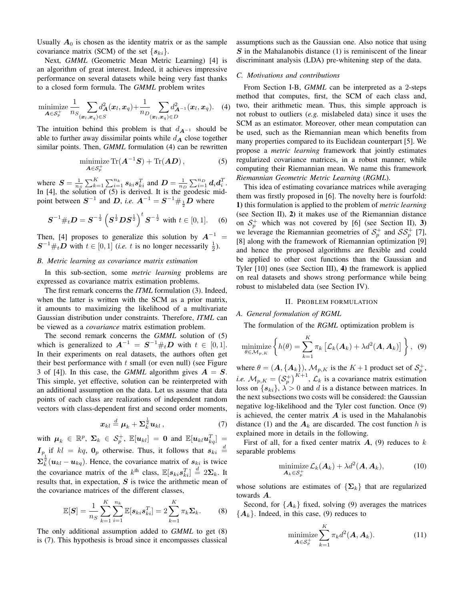Usually  $A_0$  is chosen as the identity matrix or as the sample covariance matrix (SCM) of the set  $\{s_{ki}\}.$ 

Next, *GMML* (Geometric Mean Metric Learning) [\[4\]](#page-4-3) is an algorithm of great interest. Indeed, it achieves impressive performance on several datasets while being very fast thanks to a closed form formula. The *GMML* problem writes

$$
\underset{\mathbf{A}\in\mathcal{S}_{p}^{+}}{\text{minimize}}\frac{1}{n_{S}}\sum_{(\boldsymbol{x}_{l},\boldsymbol{x}_{q})\in S}d_{\mathbf{A}}^{2}(\boldsymbol{x}_{l},\boldsymbol{x}_{q})+\frac{1}{n_{D}}\sum_{(\boldsymbol{x}_{l},\boldsymbol{x}_{q})\in D}d_{\mathbf{A}^{-1}}^{2}(\boldsymbol{x}_{l},\boldsymbol{x}_{q}).\tag{4}
$$

The intuition behind this problem is that  $d_{A^{-1}}$  should be able to further away dissimilar points while  $d_{\mathbf{A}}$  close together similar points. Then, *GMML* formulation [\(4\)](#page-1-0) can be rewritten

<span id="page-1-1"></span>
$$
\underset{\mathbf{A}\in\mathcal{S}_{p}^{+}}{\text{minimize}}\operatorname{Tr}(\mathbf{A}^{-1}\mathbf{S})+\operatorname{Tr}(\mathbf{A}\mathbf{D}),\qquad(5)
$$

where  $S = \frac{1}{n_S} \sum_{k=1}^{K} \sum_{i=1}^{n_k} s_{ki} s_{ki}^T$  and  $D = \frac{1}{n_D} \sum_{i=1}^{n_D} d_i d_i^T$ . In [\[4\]](#page-4-3), the solution of [\(5\)](#page-1-1) is derived. It is the geodesic midpoint between  $S^{-1}$  and D, *i.e.*  $A^{-1} = S^{-1} \#_{\frac{1}{2}} D$  where

<span id="page-1-8"></span>
$$
\boldsymbol{S}^{-1} \#_t \boldsymbol{D} = \boldsymbol{S}^{-\frac{1}{2}} \left( \boldsymbol{S}^{\frac{1}{2}} \boldsymbol{D} \boldsymbol{S}^{\frac{1}{2}} \right)^t \boldsymbol{S}^{-\frac{1}{2}} \text{ with } t \in [0, 1]. \quad (6)
$$

Then, [\[4\]](#page-4-3) proposes to generalize this solution by  $A^{-1}$  =  $S^{-1}$  # $\sum t_i D$  with  $t \in [0, 1]$  (*i.e.* t is no longer necessarily  $\frac{1}{2}$ ).

#### <span id="page-1-4"></span>*B. Metric learning as covariance matrix estimation*

In this sub-section, some *metric learning* problems are expressed as covariance matrix estimation problems.

The first remark concerns the *ITML* formulation [\(3\)](#page-0-0). Indeed, when the latter is written with the SCM as a prior matrix, it amounts to maximizing the likelihood of a multivariate Gaussian distribution under constraints. Therefore, *ITML* can be viewed as a *covariance* matrix estimation problem.

The second remark concerns the *GMML* solution of [\(5\)](#page-1-1) which is generalized to  $A^{-1} = S^{-1} \#_t D$  with  $t \in [0,1]$ . In their experiments on real datasets, the authors often get their best performance with  $t$  small (or even null) (see Figure 3 of [\[4\]](#page-4-3)). In this case, the *GMML* algorithm gives  $A = S$ . This simple, yet effective, solution can be reinterpreted with an additional assumption on the data. Let us assume that data points of each class are realizations of independent random vectors with class-dependent first and second order moments,

<span id="page-1-3"></span>
$$
\boldsymbol{x}_{kl} \stackrel{d}{=} \boldsymbol{\mu}_k + \boldsymbol{\Sigma}_k^{\frac{1}{2}} \boldsymbol{u}_{kl} \,, \tag{7}
$$

with  $\mu_k \in \mathbb{R}^p$ ,  $\Sigma_k \in \mathcal{S}_p^+$ ,  $\mathbb{E}[\boldsymbol{u}_{kl}]=\boldsymbol{0}$  and  $\mathbb{E}[\boldsymbol{u}_{kl}\boldsymbol{u}_{kq}^T]=$  $I_p$  if  $kl = kq$ ,  $\mathbf{0}_p$  otherwise. Thus, it follows that  $s_{ki} \stackrel{d}{=}$  $\sum_{k=1}^{\infty}$   $(u_{kl} - u_{kq})$ . Hence, the covariance matrix of  $s_{ki}$  is twice the covariance matrix of the  $k^{\text{th}}$  class,  $\mathbb{E}[s_{ki}s_{ki}^T] \stackrel{d}{=} 2\Sigma_k$ . It results that, in expectation,  $S$  is twice the arithmetic mean of the covariance matrices of the different classes,

<span id="page-1-2"></span>
$$
\mathbb{E}[S] = \frac{1}{n_S} \sum_{k=1}^{K} \sum_{i=1}^{n_k} \mathbb{E}[s_{ki} s_{ki}^T] = 2 \sum_{k=1}^{K} \pi_k \Sigma_k.
$$
 (8)

The only additional assumption added to *GMML* to get [\(8\)](#page-1-2) is [\(7\)](#page-1-3). This hypothesis is broad since it encompasses classical assumptions such as the Gaussian one. Also notice that using  $S$  in the Mahalanobis distance [\(1\)](#page-0-1) is reminiscent of the linear discriminant analysis (LDA) pre-whitening step of the data.

#### *C. Motivations and contributions*

<span id="page-1-0"></span>From Section [I-B,](#page-1-4) *GMML* can be interpreted as a 2-steps method that computes, first, the SCM of each class and, two, their arithmetic mean. Thus, this simple approach is not robust to outliers (*e.g.* mislabeled data) since it uses the SCM as an estimator. Moreover, other mean computation can be used, such as the Riemannian mean which benefits from many properties compared to its Euclidean counterpart [\[5\]](#page-4-4). We propose a *metric learning* framework that jointly estimates regularized covariance matrices, in a robust manner, while computing their Riemannian mean. We name this framework *Riemannian Geometric Metric Learning* (*RGML*).

This idea of estimating covariance matrices while averaging them was firstly proposed in [\[6\]](#page-4-5). The novelty here is fourfold: 1) this formulation is applied to the problem of *metric learning* (see Section [II\)](#page-1-5), 2) it makes use of the Riemannian distance on  $S_p^+$  which was not covered by [\[6\]](#page-4-5) (see Section [II\)](#page-1-5), 3) we leverage the Riemannian geometries of  $S_p^+$  and  $SS_p^+$  [\[7\]](#page-4-6), [\[8\]](#page-4-7) along with the framework of Riemannian optimization [\[9\]](#page-4-8) and hence the proposed algorithms are flexible and could be applied to other cost functions than the Gaussian and Tyler [\[10\]](#page-4-9) ones (see Section [III\)](#page-2-0), 4) the framework is applied on real datasets and shows strong performance while being robust to mislabeled data (see Section [IV\)](#page-3-0).

#### II. PROBLEM FORMULATION

#### <span id="page-1-5"></span>*A. General formulation of RGML*

The formulation of the *RGML* optimization problem is

<span id="page-1-6"></span>
$$
\underset{\theta \in \mathcal{M}_{p,K}}{\text{minimize}} \left\{ h(\theta) = \sum_{k=1}^{K} \pi_k \left[ \mathcal{L}_k(\boldsymbol{A}_k) + \lambda d^2(\boldsymbol{A}, \boldsymbol{A}_k) \right] \right\}, \tag{9}
$$

where  $\theta = (A, \{A_k\}), \mathcal{M}_{p,K}$  is the  $K+1$  product set of  $\mathcal{S}_p^+$ , *i.e.*  $M_{p,K} = (\mathcal{S}_p^+)^{K+1}$ ,  $\mathcal{L}_k$  is a covariance matrix estimation loss on  $\{s_{ki}\}, \lambda > 0$  and d is a distance between matrices. In the next subsections two costs will be considered: the Gaussian negative log-likelihood and the Tyler cost function. Once [\(9\)](#page-1-6) is achieved, the center matrix  $\boldsymbol{A}$  is used in the Mahalanobis distance [\(1\)](#page-0-1) and the  $A_k$  are discarded. The cost function h is explained more in details in the following.

First of all, for a fixed center matrix  $A$ , [\(9\)](#page-1-6) reduces to k separable problems

$$
\underset{\mathbf{A}_k \in \mathcal{S}_p^+}{\text{minimize}} \mathcal{L}_k(\mathbf{A}_k) + \lambda d^2(\mathbf{A}, \mathbf{A}_k),\tag{10}
$$

whose solutions are estimates of  $\{\mathbf{\Sigma}_k\}$  that are regularized towards A.

Second, for  ${A_k}$  fixed, solving [\(9\)](#page-1-6) averages the matrices  ${A_k}$ . Indeed, in this case, [\(9\)](#page-1-6) reduces to

<span id="page-1-7"></span>
$$
\underset{\mathbf{A}\in\mathcal{S}_{p}^{+}}{\text{minimize}}\sum_{k=1}^{K}\pi_{k}d^{2}(\mathbf{A},\mathbf{A}_{k}).\tag{11}
$$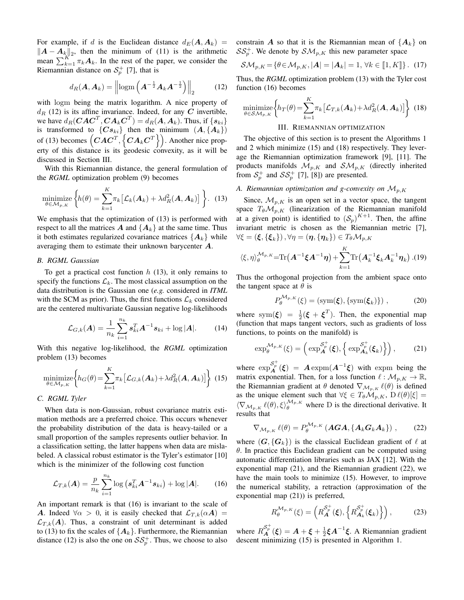For example, if d is the Euclidean distance  $d_E(A, A_k)$  =  $||A - A_k||_2$ , then the minimum of [\(11\)](#page-1-7) is the arithmetic mean  $\sum_{k=1}^{K} \pi_k A_k$ . In the rest of the paper, we consider the Riemannian distance on  $S_p^+$  [\[7\]](#page-4-6), that is

<span id="page-2-1"></span>
$$
d_R(\boldsymbol{A}, \boldsymbol{A}_k) = \left\| \log m \left( \boldsymbol{A}^{-\frac{1}{2}} \boldsymbol{A}_k \boldsymbol{A}^{-\frac{1}{2}} \right) \right\|_2 \tag{12}
$$

with logm being the matrix logarithm. A nice property of  $d_R$  [\(12\)](#page-2-1) is its affine invariance. Indeed, for any C invertible, we have  $d_R(CAC^T, CA_kC^T) = d_R(A, A_k)$ . Thus, if  $\{s_{ki}\}$ is transformed to  $\{Cs_{ki}\}\$  then the minimum  $(A, \{A_k\})$ of [\(13\)](#page-2-2) becomes  $\left(CAC^T, \{CA_kC^T\}\right)$ . Another nice property of this distance is its geodesic convexity, as it will be discussed in Section [III.](#page-2-0)

With this Riemannian distance, the general formulation of the *RGML* optimization problem [\(9\)](#page-1-6) becomes

<span id="page-2-2"></span>
$$
\underset{\theta \in \mathcal{M}_{p,K}}{\text{minimize}} \left\{ h(\theta) = \sum_{k=1}^{K} \pi_k \left[ \mathcal{L}_k(\boldsymbol{A}_k) + \lambda d_R^2(\boldsymbol{A}, \boldsymbol{A}_k) \right] \right\}. \tag{13}
$$

We emphasis that the optimization of [\(13\)](#page-2-2) is performed with respect to all the matrices A and  $\{A_k\}$  at the same time. Thus it both estimates regularized covariance matrices  $\{A_k\}$  while averaging them to estimate their unknown barycenter A.

#### *B. RGML Gaussian*

To get a practical cost function  $h(13)$  $h(13)$ , it only remains to specify the functions  $\mathcal{L}_k$ . The most classical assumption on the data distribution is the Gaussian one (*e.g.* considered in *ITML* with the SCM as prior). Thus, the first functions  $\mathcal{L}_k$  considered are the centered multivariate Gaussian negative log-likelihoods

$$
\mathcal{L}_{G,k}(A) = \frac{1}{n_k} \sum_{i=1}^{n_k} s_{ki}^T A^{-1} s_{ki} + \log |A|.
$$
 (14)

With this negative log-likelihood, the *RGML* optimization problem [\(13\)](#page-2-2) becomes

<span id="page-2-4"></span>
$$
\underset{\theta \in \mathcal{M}_{p,K}}{\text{minimize}} \left\{ h_G(\theta) = \sum_{k=1}^{K} \pi_k \left[ \mathcal{L}_{G,k}(\mathbf{A}_k) + \lambda d_R^2(\mathbf{A}, \mathbf{A}_k) \right] \right\} \tag{15}
$$

## *C. RGML Tyler*

When data is non-Gaussian, robust covariance matrix estimation methods are a preferred choice. This occurs whenever the probability distribution of the data is heavy-tailed or a small proportion of the samples represents outlier behavior. In a classification setting, the latter happens when data are mislabeled. A classical robust estimator is the Tyler's estimator [\[10\]](#page-4-9) which is the minimizer of the following cost function

<span id="page-2-3"></span>
$$
\mathcal{L}_{T,k}(\boldsymbol{A}) = \frac{p}{n_k} \sum_{i=1}^{n_k} \log \left( \boldsymbol{s}_{ki}^T \boldsymbol{A}^{-1} \boldsymbol{s}_{ki} \right) + \log |\boldsymbol{A}|. \qquad (16)
$$

An important remark is that [\(16\)](#page-2-3) is invariant to the scale of A. Indeed  $\forall \alpha > 0$ , it is easily checked that  $\mathcal{L}_{T,k}(\alpha A) =$  $\mathcal{L}_{T,k}(A)$ . Thus, a constraint of unit determinant is added to [\(13\)](#page-2-2) to fix the scales of  ${A_k}$ . Furthermore, the Riemannian distance [\(12\)](#page-2-1) is also the one on  $SS_p^+$ . Thus, we choose to also constrain A so that it is the Riemannian mean of  ${A_k}$  on  $SS_p^+$ . We denote by  $\mathcal{SM}_{p,K}$  this new parameter space

<span id="page-2-8"></span>
$$
\mathcal{SM}_{p,K} = \{ \theta \in \mathcal{M}_{p,K}, |\mathbf{A}| = |\mathbf{A}_k| = 1, \,\forall k \in [\![1, K]\!] \} . \tag{17}
$$

Thus, the *RGML* optimization problem [\(13\)](#page-2-2) with the Tyler cost function [\(16\)](#page-2-3) becomes

<span id="page-2-5"></span>
$$
\underset{\theta \in \mathcal{SM}_{p,K}}{\text{minimize}} \left\{ h_T(\theta) = \sum_{k=1}^{K} \pi_k \left[ \mathcal{L}_{T,k}(\mathbf{A}_k) + \lambda d_R^2(\mathbf{A}, \mathbf{A}_k) \right] \right\} \tag{18}
$$
\n
$$
\text{III. Riemannian optimization}
$$

<span id="page-2-0"></span>The objective of this section is to present the Algorithms [1](#page-3-1) and [2](#page-3-2) which minimize [\(15\)](#page-2-4) and [\(18\)](#page-2-5) respectively. They leverage the Riemannian optimization framework [\[9\]](#page-4-8), [\[11\]](#page-4-10). The products manifolds  $\mathcal{M}_{p,K}$  and  $\mathcal{SM}_{p,K}$  (directly inherited from  $S_p^+$  and  $SS_p^+$  [\[7\]](#page-4-6), [\[8\]](#page-4-7)) are presented.

## A. Riemannian optimization and g-convexity on  $\mathcal{M}_{p,K}$

Since,  $\mathcal{M}_{p,K}$  is an open set in a vector space, the tangent space  $T_{\theta} \mathcal{M}_{p,K}$  (linearization of the Riemannian manifold at a given point) is identified to  $(S_p)^{K+1}$ . Then, the affine invariant metric is chosen as the Riemannian metric [\[7\]](#page-4-6),  $\forall \xi = (\boldsymbol{\xi}, \{\boldsymbol{\xi}_k\})$ ,  $\forall \eta = (\boldsymbol{\eta}, \{\boldsymbol{\eta}_k\}) \in T_{\theta} \mathcal{M}_{p,K}$ 

$$
\langle \xi, \eta \rangle_{\theta}^{\mathcal{M}_{p,K}} = \text{Tr}\big(\boldsymbol{A}^{-1}\boldsymbol{\xi}\boldsymbol{A}^{-1}\boldsymbol{\eta}\big) + \sum_{k=1}^{K} \text{Tr}\big(\boldsymbol{A}_{k}^{-1}\boldsymbol{\xi}_{k}\boldsymbol{A}_{k}^{-1}\boldsymbol{\eta}_{k}\big) . (19)
$$

Thus the orthogonal projection from the ambient space onto the tangent space at  $\theta$  is

$$
P_{\theta}^{\mathcal{M}_{p,K}}(\xi) = (\text{sym}(\xi), \{\text{sym}(\xi_k)\}) ,
$$
 (20)

where sym( $\xi$ ) =  $\frac{1}{2}(\xi + \xi^T)$ . Then, the exponential map (function that maps tangent vectors, such as gradients of loss functions, to points on the manifold) is

<span id="page-2-6"></span>
$$
\exp_{\theta}^{\mathcal{M}_{p,K}}(\xi) = \left(\exp_{\mathbf{A}}^{\mathcal{S}_{p}^{+}}(\xi), \left\{\exp_{\mathbf{A}_{k}}^{\mathcal{S}_{p}^{+}}(\xi_{k})\right\}\right),\qquad(21)
$$

where  $\exp_{\mathbf{A}}^{S_p^+}(\xi) = \mathbf{A} \exp(m(\mathbf{A}^{-1}\xi))$  with expm being the matrix exponential. Then, for a loss function  $\ell : \mathcal{M}_{p,K} \to \mathbb{R}$ , the Riemannian gradient at  $\theta$  denoted  $\nabla_{\mathcal{M}_{p,K}} \ell(\theta)$  is defined as the unique element such that  $\forall \xi \in T_{\theta} \mathcal{M}_{p,K}$ ,  $D \ell(\theta)[\xi] =$  $\langle \nabla_{\mathcal{M}_{p,K}} \ell(\theta), \xi \rangle_{\theta}^{\mathcal{M}_{p,K}}$  where D is the directional derivative. It results that

<span id="page-2-7"></span>
$$
\nabla_{\mathcal{M}_{p,K}} \ell(\theta) = P_{\theta}^{\mathcal{M}_{p,K}} \left( \mathbf{AGA}, \{ \mathbf{A}_k \mathbf{G}_k \mathbf{A}_k \} \right), \tag{22}
$$

where  $(G, {G_k})$  is the classical Euclidean gradient of  $\ell$  at  $\theta$ . In practice this Euclidean gradient can be computed using automatic differentiation libraries such as JAX [\[12\]](#page-4-11). With the exponential map [\(21\)](#page-2-6), and the Riemannian gradient [\(22\)](#page-2-7), we have the main tools to minimize [\(15\)](#page-2-4). However, to improve the numerical stability, a retraction (approximation of the exponential map [\(21\)](#page-2-6)) is preferred,

$$
R_{\theta}^{\mathcal{M}_{p,K}}(\xi) = \left( R_{\mathbf{A}}^{\mathcal{S}_{p}^{+}}(\xi), \left\{ R_{\mathbf{A}_{k}}^{\mathcal{S}_{p}^{+}}(\xi_{k}) \right\} \right), \tag{23}
$$

where  $R_{\bf A}^{\mathcal{S}_p^+}(\xi) = {\bf A} + \xi + \frac{1}{2}\xi {\bf A}^{-1}\xi$ . A Riemannian gradient descent minimizing [\(15\)](#page-2-4) is presented in Algorithm [1.](#page-3-1)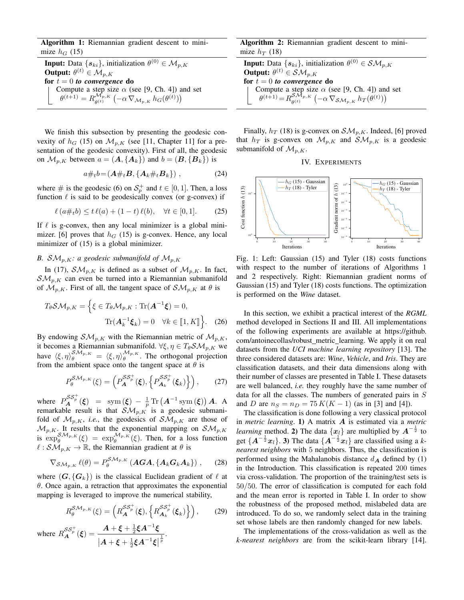Algorithm 1: Riemannian gradient descent to minimize  $h_G$  [\(15\)](#page-2-4)

**Input:** Data  $\{s_{ki}\}\$ , initialization  $\theta^{(0)} \in \mathcal{M}_{p,K}$ Output:  $\theta^{(t)} \in \mathcal{M}_{p,K}$ for  $t = 0$  *to convergence* do Compute a step size  $\alpha$  (see [\[9,](#page-4-8) Ch. 4]) and set  $\theta^{(t+1)} = R^{\mathcal{M}_{p,K}}_{a(t)}$  $\frac{\mathcal{M}_{p,K}}{\theta^{(t)}}\left(-\alpha\,\nabla_{\mathcal{M}_{p,K}}\,h_G(\theta^{(t)})\right)$ 

<span id="page-3-1"></span>We finish this subsection by presenting the geodesic convexity of  $h_G$  [\(15\)](#page-2-4) on  $\mathcal{M}_{p,K}$  (see [\[11,](#page-4-10) Chapter 11] for a presentation of the geodesic convexity). First of all, the geodesic on  $\mathcal{M}_{p,K}$  between  $a = (A, \{A_k\})$  and  $b = (B, \{B_k\})$  is

$$
a\#_t b = (A\#_t B, \{A_k\#_t B_k\}) , \qquad (24)
$$

where # is the geodesic [\(6\)](#page-1-8) on  $S_p^+$  and  $t \in [0,1]$ . Then, a loss function  $\ell$  is said to be geodesically convex (or g-convex) if

$$
\ell (a \#_t b) \le t \ell(a) + (1 - t) \ell(b), \quad \forall t \in [0, 1]. \tag{25}
$$

If  $\ell$  is g-convex, then any local minimizer is a global mini-mizer. [\[6\]](#page-4-5) proves that  $h_G$  [\(15\)](#page-2-4) is g-convex. Hence, any local minimizer of  $(15)$  is a global minimizer.

## *B.*  $\mathcal{SM}_{p,K}$ *: a geodesic submanifold of*  $\mathcal{M}_{p,K}$

In [\(17\)](#page-2-8),  $\mathcal{SM}_{p,K}$  is defined as a subset of  $\mathcal{M}_{p,K}$ . In fact,  $\mathcal{SM}_{p,K}$  can even be turned into a Riemannian submanifold of  $\mathcal{M}_{p,K}$ . First of all, the tangent space of  $\mathcal{SM}_{p,K}$  at  $\theta$  is

$$
T_{\theta} \mathcal{SM}_{p,K} = \left\{ \xi \in T_{\theta} \mathcal{M}_{p,K} : \text{Tr}(\mathbf{A}^{-1} \xi) = 0, \text{Tr}(\mathbf{A}_k^{-1} \xi_k) = 0 \quad \forall k \in [\![ 1, K ]\!] \right\}. \tag{26}
$$

By endowing  $\mathcal{SM}_{p,K}$  with the Riemannian metric of  $\mathcal{M}_{p,K}$ , it becomes a Riemannian submanifold.  $\forall \xi, \eta \in T_{\theta} \mathcal{SM}_{p,K}$  we have  $\langle \xi, \eta \rangle_{\theta}^{\mathcal{SM}_{p,K}} = \langle \xi, \eta \rangle_{\theta}^{\mathcal{M}_{p,K}}$ . The orthogonal projection from the ambient space onto the tangent space at  $\theta$  is

$$
P_{\theta}^{\mathcal{SM}_{p,K}}(\xi) = \left( P_{\mathbf{A}}^{\mathcal{SS}^+_{p}}(\xi), \left\{ P_{\mathbf{A}_{k}}^{\mathcal{SS}^+_{p}}(\xi_{k}) \right\} \right), \tag{27}
$$

where  $P_{\boldsymbol{A}}^{SS_p^+}(\boldsymbol{\xi}) = \text{sym}(\boldsymbol{\xi}) - \frac{1}{p} \text{Tr}(\boldsymbol{A}^{-1} \text{sym}(\boldsymbol{\xi})) \boldsymbol{A}.$  A remarkable result is that  $\mathcal{SM}_{p,K}$  is a geodesic submanifold of  $\mathcal{M}_{p,K}$ , *i.e.*, the geodesics of  $\mathcal{SM}_{p,K}$  are those of  $\mathcal{M}_{p,K}$ . It results that the exponential mapping on  $\mathcal{SM}_{p,K}$ is  $\exp_{\theta}^{\mathcal{SM}_{p,K}}(\xi) = \exp_{\theta}^{\mathcal{M}_{p,K}}(\xi)$ . Then, for a loss function  $\ell : \mathcal{SM}_{p,K} \to \mathbb{R}$ , the Riemannian gradient at  $\theta$  is

$$
\nabla_{\mathcal{SM}_{p,K}} \ell(\theta) = P_{\theta}^{\mathcal{SM}_{p,K}} \left( \mathbf{AGA}, \{ \mathbf{A}_k \mathbf{G}_k \mathbf{A}_k \} \right), \quad (28)
$$

where  $(G, {G_k})$  is the classical Euclidean gradient of  $\ell$  at  $\theta$ . Once again, a retraction that approximates the exponential mapping is leveraged to improve the numerical stability,

$$
R_{\theta}^{\mathcal{SM}_{p,K}}(\xi) = \left(R_{\mathbf{A}}^{\mathcal{SS}^+_{p}}(\xi), \left\{R_{\mathbf{A}_{k}}^{\mathcal{SS}^+_{p}}(\xi_{k})\right\}\right),\qquad(29)
$$

where  $R_{\bf A}^{\mathcal{S}\mathcal{S}^+_{p}}(\xi) = \frac{A + \xi + \frac{1}{2}\xi A^{-1}\xi}{A + \xi + \frac{1}{2}\xi A^{-1}\xi}$  $|A + \xi + \frac{1}{2}\xi A^{-1}\xi|$  $\frac{1}{p}$ .

Algorithm 2: Riemannian gradient descent to minimize  $h_T$  [\(18\)](#page-2-5)

**Input:** Data  $\{s_{ki}\}\$ , initialization  $\theta^{(0)} \in \mathcal{SM}_{p,K}$ **Output:**  $\theta^{(t)} \in \mathcal{SM}_{p,K}$ for  $t = 0$  *to convergence* do Compute a step size  $\alpha$  (see [\[9,](#page-4-8) Ch. 4]) and set  $\theta^{(t+1)} = R_{a(t)}^{\mathcal{SM}_{p,K}}$  $\frac{\mathcal{SM}_{p,K}}{\theta^{(t)}}\left(-\alpha\,\nabla_{\mathcal{SM}_{p,K}}\,h_T(\theta^{(t)})\right)$ 

<span id="page-3-2"></span>Finally,  $h_T$  [\(18\)](#page-2-5) is g-convex on  $\mathcal{SM}_{p,K}$ . Indeed, [\[6\]](#page-4-5) proved that  $h_T$  is g-convex on  $\mathcal{M}_{p,K}$  and  $\mathcal{SM}_{p,K}$  is a geodesic submanifold of  $\mathcal{M}_{p,K}$ .



<span id="page-3-3"></span><span id="page-3-0"></span>

Fig. 1: Left: Gaussian [\(15\)](#page-2-4) and Tyler [\(18\)](#page-2-5) costs functions with respect to the number of iterations of Algorithms [1](#page-3-1) and [2](#page-3-2) respectively. Right: Riemannian gradient norms of Gaussian [\(15\)](#page-2-4) and Tyler [\(18\)](#page-2-5) costs functions. The optimization is performed on the *Wine* dataset.

In this section, we exhibit a practical interest of the *RGML* method developed in Sections [II](#page-1-5) and [III.](#page-2-0) All implementations of the following experiments are available at [https://github.](https://github.com/antoinecollas/robust_metric_learning) [com/antoinecollas/robust](https://github.com/antoinecollas/robust_metric_learning)\_metric\_learning. We apply it on real datasets from the *UCI machine learning repository* [\[13\]](#page-4-12). The three considered datasets are: *Wine*, *Vehicle*, and *Iris*. They are classification datasets, and their data dimensions along with their number of classes are presented in Table [I.](#page-4-13) These datasets are well balanced, *i.e.* they roughly have the same number of data for all the classes. The numbers of generated pairs in S and D are  $n_S = n_D = 75 K(K - 1)$  (as in [\[3\]](#page-4-2) and [\[4\]](#page-4-3)).

The classification is done following a very classical protocol in *metric learning*. 1) A matrix A is estimated via a *metric learning* method. 2) The data  $\{x_l\}$  are multiplied by  $A^{-\frac{1}{2}}$  to get  $\{A^{-\frac{1}{2}}x_l\}$ . 3) The data  $\{A^{-\frac{1}{2}}x_l\}$  are classified using a k*nearest neighbors* with 5 neighbors. Thus, the classification is performed using the Mahalanobis distance  $d_{\mathbf{A}}$  defined by [\(1\)](#page-0-1) in the Introduction. This classification is repeated 200 times via cross-validation. The proportion of the training/test sets is 50/50. The error of classification is computed for each fold and the mean error is reported in Table [I.](#page-4-13) In order to show the robustness of the proposed method, mislabeled data are introduced. To do so, we randomly select data in the training set whose labels are then randomly changed for new labels.

The implementations of the cross-validation as well as the *k-nearest neighbors* are from the scikit-learn library [\[14\]](#page-4-14).